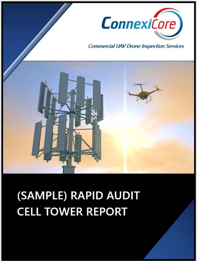

# (SAMPLE) RAPID AUDIT **CELL TOWER REPORT**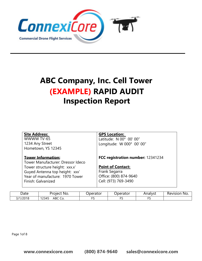

## **ABC Company, Inc. Cell Tower (EXAMPLE) RAPID AUDIT Inspection Report**

| <b>Site Address:</b><br>WWWW TV-65<br>1234 Any Street<br>Hometown, YS 12345                                                                                                                 | <b>GPS Location:</b><br>Latitude: N 00° 00' 00"<br>Longitude: W 000° 00' 00"                                                     |  |
|---------------------------------------------------------------------------------------------------------------------------------------------------------------------------------------------|----------------------------------------------------------------------------------------------------------------------------------|--|
| <b>Tower Information:</b><br>Tower Manufacturer: Dressor Ideco<br>Tower structure height: xxx.x'<br>Guyed Antenna top height: xxx'<br>Year of manufacture: 1970 Tower<br>Finish: Galvanized | FCC registration number: 12341234<br><b>Point of Contact:</b><br>Frank Segarra<br>Office: (800) 874-9640<br>Cell: (973) 769-3490 |  |

| Date                 | Project No.                             | Jperator | Jperator | Analyst | Revision<br>NO. |
|----------------------|-----------------------------------------|----------|----------|---------|-----------------|
| 1/2018<br>่า 74<br>╯ | 122<br>$\sqrt{2}$<br>ABC<br>12345<br>◡◡ | --       |          | $-$     |                 |

Page 1of 8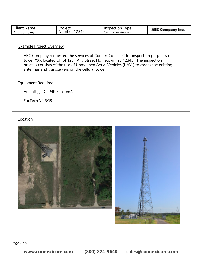| <b>Client Name</b><br><b>ABC Company</b> | Project<br>Number 12345                          | Inspection Type<br>Cell Tower Analysis                                                                                                                                                                                                                    | <b>ABC Company Inc.</b> |
|------------------------------------------|--------------------------------------------------|-----------------------------------------------------------------------------------------------------------------------------------------------------------------------------------------------------------------------------------------------------------|-------------------------|
| <b>Example Project Overview</b>          | antennas and transceivers on the cellular tower. | ABC Company requested the services of ConnexiCore, LLC for inspection purposes of<br>tower XXX located off of 1234 Any Street Hometown, YS 12345. The inspection<br>process consists of the use of Unmanned Aerial Vehicles (UAVs) to assess the existing |                         |
| <b>Equipment Required</b>                |                                                  |                                                                                                                                                                                                                                                           |                         |
| Aircraft(s): DJI P4P Sensor(s):          |                                                  |                                                                                                                                                                                                                                                           |                         |
| FoxTech V4 RGB                           |                                                  |                                                                                                                                                                                                                                                           |                         |
|                                          |                                                  |                                                                                                                                                                                                                                                           |                         |
|                                          |                                                  |                                                                                                                                                                                                                                                           |                         |

**BACK BASES**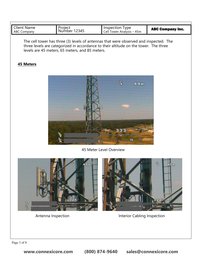| <b>Client Name</b><br>Project<br>Inspection Type<br>12345<br>Number<br>Cell Tower Analysis - 45m<br><b>ABC Company</b> | <b>ABC Company Inc.</b> |
|------------------------------------------------------------------------------------------------------------------------|-------------------------|
|------------------------------------------------------------------------------------------------------------------------|-------------------------|

The cell tower has three (3) levels of antennas that were observed and inspected. The three levels are categorized in accordance to their altitude on the tower. The three levels are 45 meters, 65 meters, and 85 meters.

#### **45 Meters**



45 Meter Level Overview





Antenna Inspection **Interior Cabling Inspection**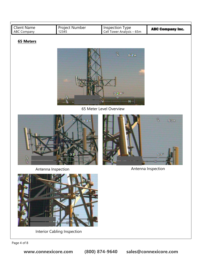| <b>Client Name</b><br>ABC Company | Project Number<br>12345 | Inspection Type<br>Cell Tower Analysis - 65m | <b>ABC Company Inc.</b> |
|-----------------------------------|-------------------------|----------------------------------------------|-------------------------|
| <b>65 Meters</b>                  |                         |                                              |                         |
|                                   |                         | B.<br>62m<br>324<br>₩<br>$N-$                |                         |
|                                   |                         | 65 Meter Level Overview                      |                         |
| Ş                                 | <b>62e</b><br>3 2 3     |                                              | B<br>53w<br>13          |
|                                   | Antenna Inspection      |                                              | Antenna Inspection      |
|                                   |                         |                                              |                         |

Interior Cabling Inspection

Page 4 of 8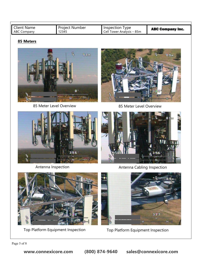| <b>Client Name</b> | <b>Project Number</b> | Inspection Type           | <b>ABC Company Inc.</b> |
|--------------------|-----------------------|---------------------------|-------------------------|
| ABC Company        | 12345                 | Cell Tower Analysis – 85m |                         |

### **85 Meters**



85 Meter Level Overview 85 Meter Level Overview







Antenna Inspection **Antenna Cabling Inspection** 



Top Platform Equipment Inspection Top Platform Equipment Inspection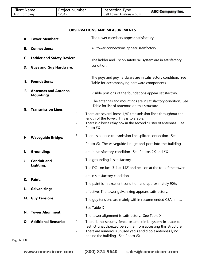| <b>Client Name</b><br><b>Project Number</b><br>12345<br><b>ABC Company</b> | Inspection Type<br>Cell Tower Analysis - 85m | <b>ABC Company Inc.</b> |
|----------------------------------------------------------------------------|----------------------------------------------|-------------------------|
|----------------------------------------------------------------------------|----------------------------------------------|-------------------------|

 $\frac{1}{2}$ 

#### **OBSERVATIONS AND MEASUREMENTS**

|                   | A. Tower Members:                                                 |          | The tower members appear satisfactory.                                                                                                                                                                                           |
|-------------------|-------------------------------------------------------------------|----------|----------------------------------------------------------------------------------------------------------------------------------------------------------------------------------------------------------------------------------|
| <b>B.</b>         | <b>Connections:</b>                                               |          | All tower connections appear satisfactory.                                                                                                                                                                                       |
| C.<br>D.          | <b>Ladder and Safety Device:</b><br><b>Guys and Guy Hardware:</b> |          | The ladder and Trylon safety rail system are in satisfactory<br>condition.                                                                                                                                                       |
| Е.                | <b>Foundations:</b>                                               |          | The guys and guy hardware are in satisfactory condition. See<br>Table for accompanying hardware components.                                                                                                                      |
| Е.                | <b>Antennas and Antenna</b><br><b>Mountings:</b>                  |          | Visible portions of the foundations appear satisfactory.                                                                                                                                                                         |
|                   |                                                                   |          | The antennas and mountings are in satisfactory condition. See<br>Table for list of antennas on this structure.                                                                                                                   |
| G.                | <b>Transmission Lines:</b>                                        | 1.<br>2. | There are several loose 1/4" transmission lines throughout the<br>length of the tower. This is tolerable.<br>There is a loose relay box in the second cluster of antennas. See<br>Photo #X.                                      |
|                   | H. Waveguide Bridge:                                              | 3.       | There is a loose transmission line splitter connection. See                                                                                                                                                                      |
|                   |                                                                   |          | Photo #X. The waveguide bridge and port into the building                                                                                                                                                                        |
| Ι.                | <b>Grounding:</b>                                                 |          | are in satisfactory condition. See Photos #X and #X.                                                                                                                                                                             |
| J.                | <b>Conduit and</b>                                                |          | The grounding is satisfactory.                                                                                                                                                                                                   |
|                   | Lighting:                                                         |          | The DOL on face 3-1 at 142' and beacon at the top of the tower                                                                                                                                                                   |
| К.                | Paint:                                                            |          | are in satisfactory condition.                                                                                                                                                                                                   |
|                   |                                                                   |          | The paint is in excellent condition and approximately 90%                                                                                                                                                                        |
| L.                | <b>Galvanizing:</b>                                               |          | effective. The tower galvanizing appears satisfactory.                                                                                                                                                                           |
|                   | <b>M. Guy Tensions:</b>                                           |          | The guy tensions are mainly within recommended CSA limits.                                                                                                                                                                       |
|                   |                                                                   |          | See Table X                                                                                                                                                                                                                      |
| N.                | <b>Tower Alignment:</b>                                           |          | The tower alignment is satisfactory. See Table X.                                                                                                                                                                                |
| 0.<br>Page 6 of 8 | <b>Additional Remarks:</b>                                        | 1.<br>2. | There is no security fence or anti-climb system in place to<br>restrict unauthorized personnel from accessing this structure.<br>There are numerous unused yagis and dipole antennas lying<br>behind the building. See Photo #X. |
|                   |                                                                   |          |                                                                                                                                                                                                                                  |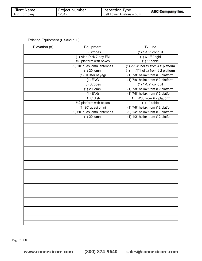| <b>Client Name</b><br><b>Project Number</b><br>12345<br>ABC Company | Inspection Type<br>Cell Tower Analysis - 85m | <b>ABC Company Inc.</b> |
|---------------------------------------------------------------------|----------------------------------------------|-------------------------|
|---------------------------------------------------------------------|----------------------------------------------|-------------------------|

Existing Equipment (EXAMPLE)

÷,

| Elevation (ft) | Equipment                   | Tx Line                                |
|----------------|-----------------------------|----------------------------------------|
|                | (3) Strobes                 | (1) 1-1/2" conduit                     |
|                | (1) Alan Dick 7-bay FM      | $(1) 6 - 1/8"$ rigid                   |
|                | #3 platform with boxes      | $(1) 1"$ cable                         |
|                | (2) 10' quasi omni antennas | $(1)$ 2-1/4" heliax from # 2 platform  |
|                | (1) 20' omni                | $(1)$ 1-1/4" heliax from # 2 platform  |
|                | (1) Cluster of yagi         | (1) 7/8" heliax from # 3 platform      |
|                | $(1)$ ENG                   | (1) 7/8" heliax from # 2 platform      |
|                | (3) Strobes                 | $(1)$ 1-1/2" conduit                   |
|                | (1) 20' omni                | (1) 7/8" heliax from # 2 platform      |
|                | $(1)$ ENG                   | (1) 7/8" heliax from # 2 platform      |
|                | $(1)$ 8' dish               | $(1)$ EW63 from # 2 platform           |
|                | # 2 platform with boxes     | $(1)$ 1" cable                         |
|                | (1) 20' quasi omni          | (1) $7/8$ " heliax from $# 2$ platform |
|                | (2) 20' quasi omni antennas | (2) 1/2" heliax from # 2 platform      |
|                | (1) 20' omni                | $(1)$ 1/2" heliax from #2 platform     |
|                |                             |                                        |
|                |                             |                                        |
|                |                             |                                        |
|                |                             |                                        |
|                |                             |                                        |
|                |                             |                                        |
|                |                             |                                        |
|                |                             |                                        |
|                |                             |                                        |
|                |                             |                                        |
|                |                             |                                        |
|                |                             |                                        |
|                |                             |                                        |
|                |                             |                                        |
|                |                             |                                        |
|                |                             |                                        |
|                |                             |                                        |
|                |                             |                                        |
|                |                             |                                        |
|                |                             |                                        |
|                |                             |                                        |
|                |                             |                                        |
|                |                             |                                        |

Page 7 of 8